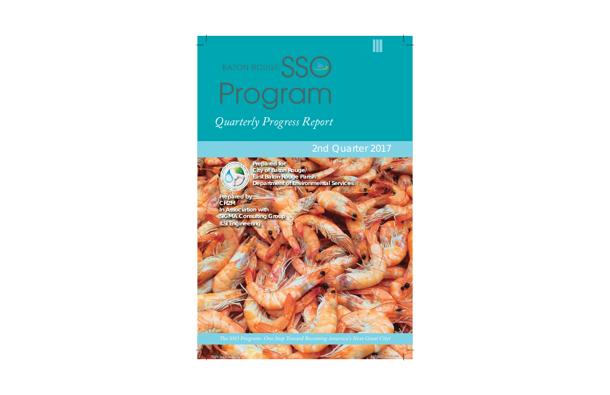

# BATON ROUGE SSG Program

# *Quarterly Progress Report Q l P R*

### 2nd Quarter 2017

 **Prepared for City of Baton Rouge/ East Baton Rouge Parish Department of Environmental Services**

**Prepared by CH2M In Association with SIGMA Consulting Group ILSI Engineering**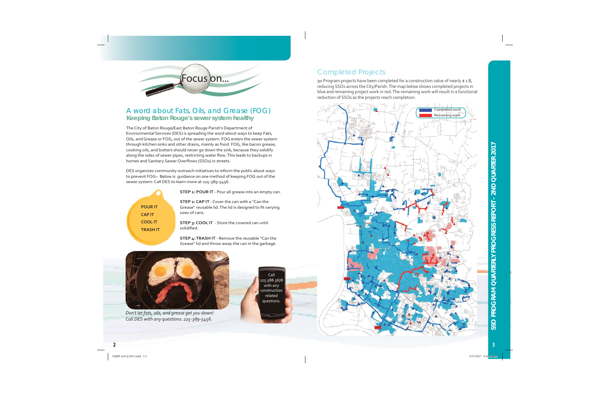

#### A word about Fats, Oils, and Grease (FOG) **Keeping Baton Rouge's sewer system healthy**

The City of Baton Rouge/East Baton Rouge Parish's Department of Environmental Services (DES) is spreading the word about ways to keep Fats, Oils, and Grease or FOG, out of the sewer system. FOG enters the sewer system through kitchen sinks and other drains, mainly as food. FOG, like bacon grease, cooking oils, and butters should never go down the sink, because they solidify along the sides of sewer pipes, restricting water flow. This leads to backups in homes and Sanitary Sewer Overflows (SSOs) in streets.

DES organizes community outreach initiatives to inform the public about ways to prevent FOG- Below is quidance on one method of keeping FOG out of the sewer system: Call DES to learn more at 225-389-5456.

| <b>POUR IT</b>  |
|-----------------|
| <b>CAP IT</b>   |
| <b>COOL IT</b>  |
| <b>TRASH IT</b> |
|                 |

STEP 1: POUR IT - Pour all grease into an empty can.

**STEP 2: CAP IT** - Cover the can with a "Can the Grease" reusable lid. The lid is designed to fit varying sizes of cans.

STEP 3: COOL IT - Store the covered can until solidified.

STEP 4: TRASH IT - Remove the reusable "Can the Grease" lid and throw away the can in the garbage.



Don't let fats, oils, and grease get you down! Call DES with any questions: 225-389-5456.

Call 225.588.5678 with any construction related questions.

#### **Completed Projects**

90 Program projects have been completed for a construction value of nearly \$1B, reducing SSOs across the City/Parish. The map below shows completed projects in blue and remaining project work in red. The remaining work will result in a functional reduction of SSOs as the projects reach completion.

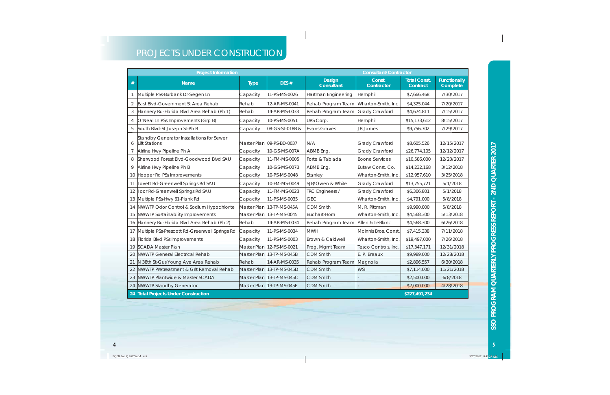## PROJECTS UNDER CONSTRUCTION

|                | <b>Project Information</b>                                 | <b>Consultant/Contractor</b> |                           |                             |                       |                                 |                                 |  |  |
|----------------|------------------------------------------------------------|------------------------------|---------------------------|-----------------------------|-----------------------|---------------------------------|---------------------------------|--|--|
| $#$            | <b>Name</b>                                                | <b>Type</b>                  | DES#                      | <b>Design</b><br>Consultant | Const.<br>Contractor  | <b>Total Const.</b><br>Contract | <b>Functionally</b><br>Complete |  |  |
|                | Multiple PSs-Burbank Dr-Siegen Ln                          | Capacity                     | 11-PS-MS-0026             | Hartman Engineering         | Hemphill              | \$7,666,468                     | 7/30/2017                       |  |  |
| $\overline{2}$ | East Blvd-Government St Area Rehab                         | Rehab                        | 12-AR-MS-0041             | Rehab Program Team          | Wharton-Smith, Inc.   | \$4,325,044                     | 7/20/2017                       |  |  |
| 3              | Flannery Rd-Florida Blvd Area Rehab (Ph 1)                 | Rehab                        | 14-AR-MS-0033             | Rehab Program Team          | Grady Crawford        | \$4,674,811                     | 7/15/2017                       |  |  |
| 4              | O'Neal Ln PSs Improvements (Grp B)                         | Capacity                     | 10-PS-MS-0051             | URS Corp.                   | Hemphill              | \$15,173,612                    | 8/15/2017                       |  |  |
| 5              | South Blvd-St Joseph St-Ph B                               | Capacity                     | 08-GS-ST-018B &           | <b>Evans Graves</b>         | <b>JB James</b>       | \$9,756,702                     | 7/29/2017                       |  |  |
| 6              | Standby Generator Installations for Sewer<br>Lift Stations |                              | Master Plan 09-PS-BD-0037 | N/A                         | Grady Crawford        | \$8,605,526                     | 12/15/2017                      |  |  |
| $\overline{7}$ | Airline Hwy Pipeline Ph A                                  | Capacity                     | 10-GS-MS-007A             | ABMB Eng.                   | Grady Crawford        | \$26,774,105                    | 12/12/2017                      |  |  |
| 8              | Sherwood Forest Blvd-Goodwood Blvd SAU                     | Capacity                     | 11-FM-MS-0005             | Forte & Tablada             | <b>Boone Services</b> | \$10,586,000                    | 12/23/2017                      |  |  |
| 9              | Airline Hwy Pipeline Ph B                                  | Capacity                     | 10-GS-MS-007B             | ABMB Eng.                   | Eutaw Const. Co.      | \$14,232,168                    | 3/12/2018                       |  |  |
| 10             | Hooper Rd PSs Improvements                                 | Capacity                     | 10-PS-MS-0048             | Stanley                     | Wharton-Smith, Inc.   | \$12,957,610                    | 3/25/2018                       |  |  |
| 11             | ovett Rd-Greenwell Springs Rd SAU                          | Capacity                     | 10-FM-MS-0049             | SJB/Owen & White            | Grady Crawford        | \$13,755,721                    | 5/1/2018                        |  |  |
| 12             | Joor Rd-Greenwell Springs Rd SAU                           | Capacity                     | 11-FM-MS-0023             | TRC Engineers /             | Grady Crawford        | \$6,306,801                     | 5/1/2018                        |  |  |
| 13             | Multiple PSs-Hwy 61-Plank Rd                               | Capacity                     | 11-PS-MS-0035             | <b>GEC</b>                  | Wharton-Smith, Inc.   | \$4,791,000                     | 5/8/2018                        |  |  |
| 14             | NWWTP Odor Control & Sodium Hypochlorite                   | Master Plan                  | 13-TP-MS-045A             | CDM Smith                   | M. R. Pittman         | \$9,990,000                     | 5/8/2018                        |  |  |
| 15             | NWWTP Sustainability Improvements                          | Master Plan                  | 13-TP-MS-0045             | <b>Buchart-Horn</b>         | Wharton-Smith, Inc.   | \$4,568,300                     | 5/13/2018                       |  |  |
| 16             | Flannery Rd-Florida Blvd Area Rehab (Ph 2)                 | Rehab                        | 14-AR-MS-0034             | Rehab Program Team          | Allen & LeBlanc       | \$4,568,300                     | 6/26/2018                       |  |  |
| 17             | Multiple PSs-Prescott Rd-Greenwell Springs Rd              | Capacity                     | 11-PS-MS-0034             | <b>MWH</b>                  | McInnis Bros. Const.  | \$7,415,338                     | 7/11/2018                       |  |  |
| 18             | Florida Blvd PSs Improvements                              | Capacity                     | 11-PS-MS-0003             | Brown & Caldwell            | Wharton-Smith, Inc.   | \$19,497,000                    | 7/26/2018                       |  |  |
| 19             | <b>SCADA Master Plan</b>                                   | Master Plan                  | 12-PS-MS-0021             | Prog. Mgmt Team             | Tesco Controls, Inc.  | \$17,347,171                    | 12/31/2018                      |  |  |
| 20             | <b>NWWTP General Electrical Rehab</b>                      | Master Plan                  | 13-TP-MS-045B             | <b>CDM Smith</b>            | E. P. Breaux          | \$9,989,000                     | 12/28/2018                      |  |  |
| 21             | N 38th St-Gus Young Ave Area Rehab                         | Rehab                        | 14-AR-MS-0035             | Rehab Program Team          | Magnolia              | \$2,896,557                     | 6/30/2018                       |  |  |
| 22             | NWWTP Pretreatment & Grit Removal Rehab                    | Master Plan                  | 13-TP-MS-045D             | <b>CDM Smith</b>            | <b>WSI</b>            | \$7,114,000                     | 11/21/2018                      |  |  |
| 23             | NWWTP Plantwide & Master SCADA                             | Master Plan                  | 13-TP-MS-045C             | <b>CDM Smith</b>            |                       | \$2,500,000                     | 6/8/2018                        |  |  |
| 24             | <b>NWWTP Standby Generator</b>                             | Master Plan                  | 13-TP-MS-045E             | <b>CDM</b> Smith            |                       | \$2,000,000                     | 4/28/2018                       |  |  |
|                | 24 Total Projects Under Construction<br>\$227,491,234      |                              |                           |                             |                       |                                 |                                 |  |  |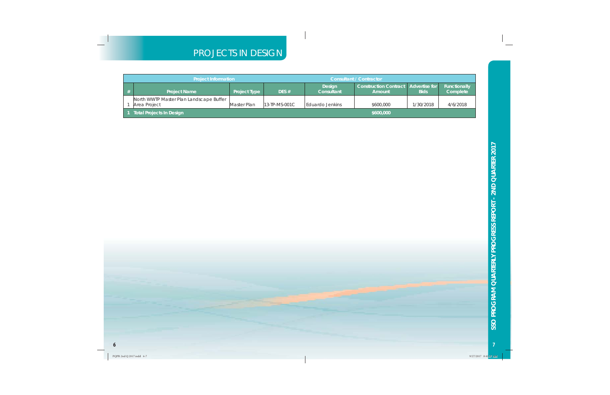#### PROJECTS IN DESIGN

|   | <b>Project Information</b>              | <b>Consultant / Contractor</b> |                  |                             |                                                        |             |                                 |
|---|-----------------------------------------|--------------------------------|------------------|-----------------------------|--------------------------------------------------------|-------------|---------------------------------|
| # | <b>Project Name</b>                     | <b>Project Type</b>            | DES $#$          | <b>Design</b><br>Consultant | <b>Construction Contract Advertise for  </b><br>Amount | <b>Bids</b> | <b>Functionally</b><br>Complete |
|   | North WWTP Master Plan Landscape Buffer |                                |                  |                             |                                                        |             |                                 |
|   | Area Proiect                            | Master Plan                    | $13$ -TP-MS-001C | Eduardo Jenkins             | \$600,000                                              | 1/30/2018   | 4/6/2018                        |
|   | Total Projects In Design                |                                |                  |                             | \$600,000                                              |             |                                 |



 $\overline{7}$